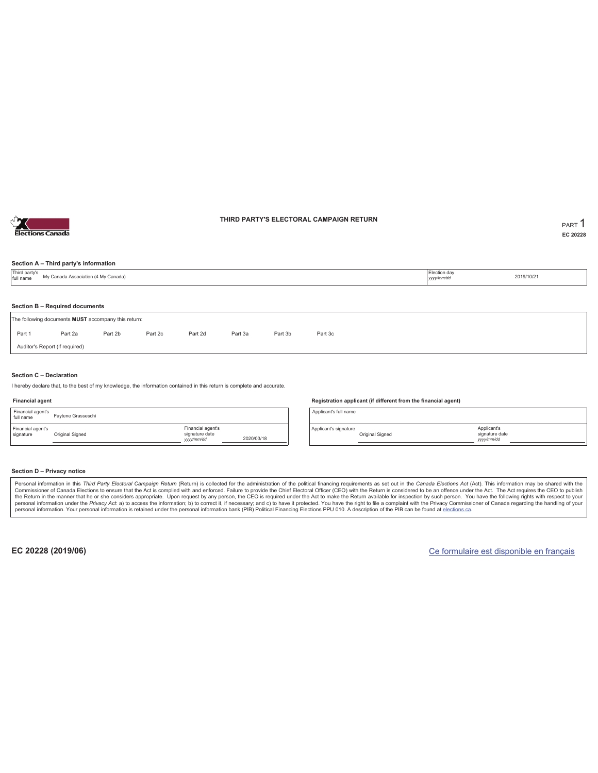

### **THIRD PARTY'S ELECTORAL CAMPAIGN RETURN PART** 1

**EC 20228**

### **Section A – Third party's information**

| Third party's<br>full name     | My Canada Association (4 My Canada)                                                   |         |         |         |         |         |         |  | Election day<br>vyyy/mm/dd | 2019/10/21 |  |  |
|--------------------------------|---------------------------------------------------------------------------------------|---------|---------|---------|---------|---------|---------|--|----------------------------|------------|--|--|
|                                |                                                                                       |         |         |         |         |         |         |  |                            |            |  |  |
|                                | Section B - Required documents<br>The following documents MUST accompany this return: |         |         |         |         |         |         |  |                            |            |  |  |
| Part 1                         | Part 2a                                                                               | Part 2b | Part 2c | Part 2d | Part 3a | Part 3b | Part 3c |  |                            |            |  |  |
| Auditor's Report (if required) |                                                                                       |         |         |         |         |         |         |  |                            |            |  |  |

### **Section C – Declaration**

I hereby declare that, to the best of my knowledge, the information contained in this return is complete and accurate.

### **Financial agent**

| Financial agent's<br>full name | Favtene Grasseschi |                                                  |            |
|--------------------------------|--------------------|--------------------------------------------------|------------|
| Financial agent's<br>signature | Original Signed    | Financial agent's<br>signature date<br>yyy/mm/dd | 2020/03/18 |

#### **Registration applicant (if different from the financial agent)**

Applicant's full name

Applicant's signature Original Signed

### **Section D – Privacy notice**

Personal information in this Third Party Electoral Campaign Return (Return) is collected for the administration of the political financing requirements as set out in the Canada Elections Act (Act). This information may be Commissioner of Canada Elections to ensure that the Act is complied with and enforced. Failure to provide the Chief Electoral Officer (CEO) with the Return is considered to be an offence under the Act. The Act requires the personal information. Your personal information is retained under the personal information bank (PIB) Political Financing Elections PPU 010. A description of the PIB can be found at elections.ca.

**EC 20228 (2019/06)** Ce formulaire est disponible en français

Applicant's signature date *yyyy/mm/dd*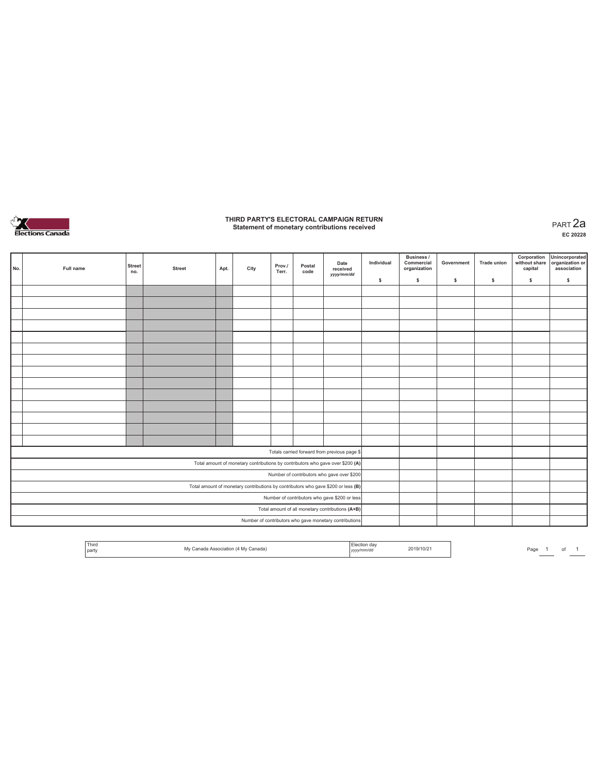

# **THIRD PARTY'S ELECTORAL CAMPAIGN RETURN Statement of monetary contributions received** PART 2a

| No. | Full name | <b>Street</b><br>no. | <b>Street</b> | Apt. | City | Prov./<br>Terr. | Postal<br>code | Date<br>received<br>yyyy/mm/dd                                                    | Individual | <b>Business /</b><br>Commercial<br>organization | Government | <b>Trade union</b> | Corporation<br>capital | Unincorporated<br>without share organization or<br>association |
|-----|-----------|----------------------|---------------|------|------|-----------------|----------------|-----------------------------------------------------------------------------------|------------|-------------------------------------------------|------------|--------------------|------------------------|----------------------------------------------------------------|
|     |           |                      |               |      |      |                 |                |                                                                                   | \$         | \$                                              | \$         | \$                 | \$                     | \$                                                             |
|     |           |                      |               |      |      |                 |                |                                                                                   |            |                                                 |            |                    |                        |                                                                |
|     |           |                      |               |      |      |                 |                |                                                                                   |            |                                                 |            |                    |                        |                                                                |
|     |           |                      |               |      |      |                 |                |                                                                                   |            |                                                 |            |                    |                        |                                                                |
|     |           |                      |               |      |      |                 |                |                                                                                   |            |                                                 |            |                    |                        |                                                                |
|     |           |                      |               |      |      |                 |                |                                                                                   |            |                                                 |            |                    |                        |                                                                |
|     |           |                      |               |      |      |                 |                |                                                                                   |            |                                                 |            |                    |                        |                                                                |
|     |           |                      |               |      |      |                 |                |                                                                                   |            |                                                 |            |                    |                        |                                                                |
|     |           |                      |               |      |      |                 |                |                                                                                   |            |                                                 |            |                    |                        |                                                                |
|     |           |                      |               |      |      |                 |                |                                                                                   |            |                                                 |            |                    |                        |                                                                |
|     |           |                      |               |      |      |                 |                |                                                                                   |            |                                                 |            |                    |                        |                                                                |
|     |           |                      |               |      |      |                 |                |                                                                                   |            |                                                 |            |                    |                        |                                                                |
|     |           |                      |               |      |      |                 |                |                                                                                   |            |                                                 |            |                    |                        |                                                                |
|     |           |                      |               |      |      |                 |                |                                                                                   |            |                                                 |            |                    |                        |                                                                |
|     |           |                      |               |      |      |                 |                |                                                                                   |            |                                                 |            |                    |                        |                                                                |
|     |           |                      |               |      |      |                 |                | Totals carried forward from previous page \$                                      |            |                                                 |            |                    |                        |                                                                |
|     |           |                      |               |      |      |                 |                | Total amount of monetary contributions by contributors who gave over \$200 (A)    |            |                                                 |            |                    |                        |                                                                |
|     |           |                      |               |      |      |                 |                | Number of contributors who gave over \$200                                        |            |                                                 |            |                    |                        |                                                                |
|     |           |                      |               |      |      |                 |                | Total amount of monetary contributions by contributors who gave \$200 or less (B) |            |                                                 |            |                    |                        |                                                                |
|     |           |                      |               |      |      |                 |                | Number of contributors who gave \$200 or less                                     |            |                                                 |            |                    |                        |                                                                |
|     |           |                      |               |      |      |                 |                | Total amount of all monetary contributions (A+B)                                  |            |                                                 |            |                    |                        |                                                                |
|     |           |                      |               |      |      |                 |                | Number of contributors who gave monetary contributions                            |            |                                                 |            |                    |                        |                                                                |

| Third<br>party | ssociation (4 My Canada)<br>. | yyyymmuaa | 2019/10/21 | $D - D$<br>′aq∈ |  |  |  |
|----------------|-------------------------------|-----------|------------|-----------------|--|--|--|
|----------------|-------------------------------|-----------|------------|-----------------|--|--|--|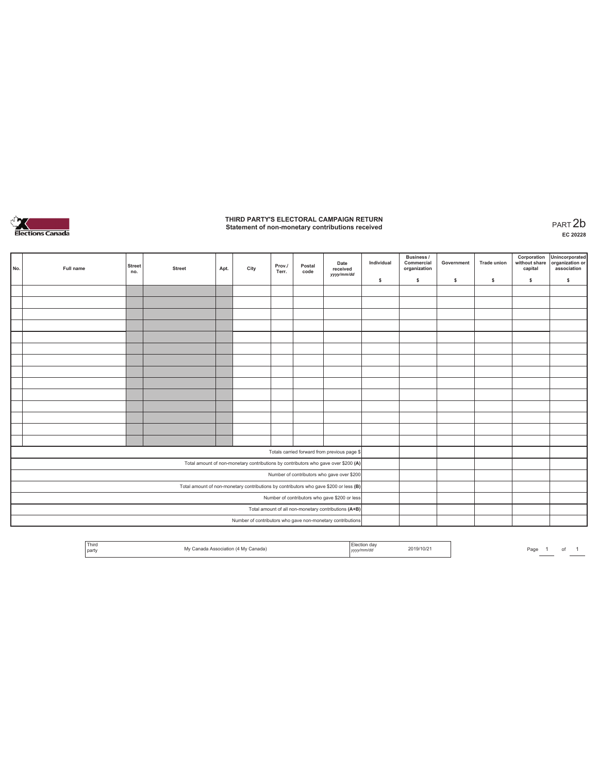

# **THIRD PARTY'S ELECTORAL CAMPAIGN RETURN Statement of non-monetary contributions received** PART 2b

| No. | Full name | <b>Street</b><br>no. | <b>Street</b> | Apt. | City | Prov./<br>Terr. | Postal<br>code | Date<br>received<br>yyyy/mm/dd                                                        | Individual | Business /<br>Commercial<br>organization | Government | <b>Trade union</b> | Corporation<br>without share<br>capital | Unincorporated<br>organization or<br>association |
|-----|-----------|----------------------|---------------|------|------|-----------------|----------------|---------------------------------------------------------------------------------------|------------|------------------------------------------|------------|--------------------|-----------------------------------------|--------------------------------------------------|
|     |           |                      |               |      |      |                 |                |                                                                                       | \$         | \$                                       | \$         | \$                 | \$                                      | \$                                               |
|     |           |                      |               |      |      |                 |                |                                                                                       |            |                                          |            |                    |                                         |                                                  |
|     |           |                      |               |      |      |                 |                |                                                                                       |            |                                          |            |                    |                                         |                                                  |
|     |           |                      |               |      |      |                 |                |                                                                                       |            |                                          |            |                    |                                         |                                                  |
|     |           |                      |               |      |      |                 |                |                                                                                       |            |                                          |            |                    |                                         |                                                  |
|     |           |                      |               |      |      |                 |                |                                                                                       |            |                                          |            |                    |                                         |                                                  |
|     |           |                      |               |      |      |                 |                |                                                                                       |            |                                          |            |                    |                                         |                                                  |
|     |           |                      |               |      |      |                 |                |                                                                                       |            |                                          |            |                    |                                         |                                                  |
|     |           |                      |               |      |      |                 |                |                                                                                       |            |                                          |            |                    |                                         |                                                  |
|     |           |                      |               |      |      |                 |                |                                                                                       |            |                                          |            |                    |                                         |                                                  |
|     |           |                      |               |      |      |                 |                |                                                                                       |            |                                          |            |                    |                                         |                                                  |
|     |           |                      |               |      |      |                 |                |                                                                                       |            |                                          |            |                    |                                         |                                                  |
|     |           |                      |               |      |      |                 |                |                                                                                       |            |                                          |            |                    |                                         |                                                  |
|     |           |                      |               |      |      |                 |                |                                                                                       |            |                                          |            |                    |                                         |                                                  |
|     |           |                      |               |      |      |                 |                |                                                                                       |            |                                          |            |                    |                                         |                                                  |
|     |           |                      |               |      |      |                 |                | Totals carried forward from previous page \$                                          |            |                                          |            |                    |                                         |                                                  |
|     |           |                      |               |      |      |                 |                | Total amount of non-monetary contributions by contributors who gave over \$200 (A)    |            |                                          |            |                    |                                         |                                                  |
|     |           |                      |               |      |      |                 |                | Number of contributors who gave over \$200                                            |            |                                          |            |                    |                                         |                                                  |
|     |           |                      |               |      |      |                 |                | Total amount of non-monetary contributions by contributors who gave \$200 or less (B) |            |                                          |            |                    |                                         |                                                  |
|     |           |                      |               |      |      |                 |                | Number of contributors who gave \$200 or less                                         |            |                                          |            |                    |                                         |                                                  |
|     |           |                      |               |      |      |                 |                | Total amount of all non-monetary contributions (A+B)                                  |            |                                          |            |                    |                                         |                                                  |
|     |           |                      |               |      |      |                 |                | Number of contributors who gave non-monetary contributions                            |            |                                          |            |                    |                                         |                                                  |

| Third<br>, part | 40 Te | 2019/10/2<br><br>,,,, | Page<br> |
|-----------------|-------|-----------------------|----------|
|-----------------|-------|-----------------------|----------|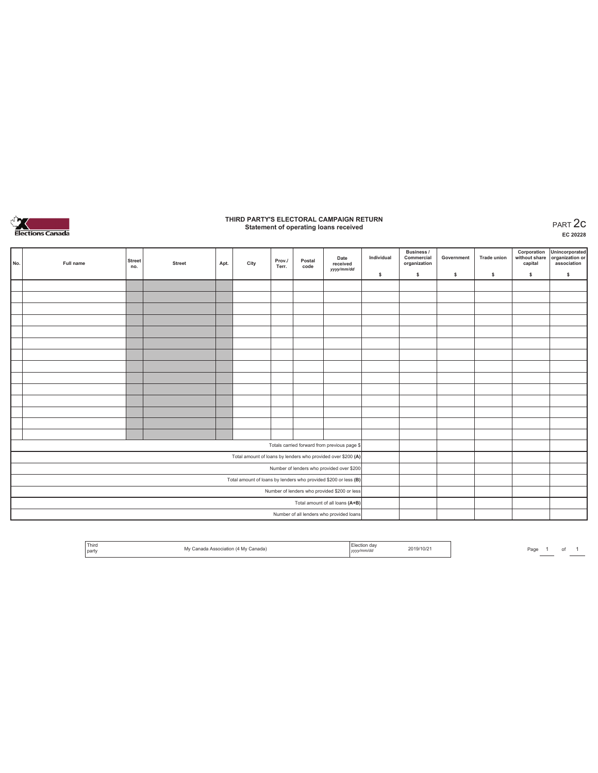

# **THIRD PARTY'S ELECTORAL CAMPAIGN RETURN Statement of operating loans received** PART 2c

**EC 20228**

| No. | Full name | <b>Street</b><br>no. | <b>Street</b> | Apt. | City | Prov./<br>Terr. | Postal<br>code | Date<br>received<br>yyyy/mm/dd                                  | Individual | <b>Business /</b><br>Commercial<br>organization | Government | Trade union | Corporation<br>without share<br>capital | Unincorporated<br>organization or<br>association |
|-----|-----------|----------------------|---------------|------|------|-----------------|----------------|-----------------------------------------------------------------|------------|-------------------------------------------------|------------|-------------|-----------------------------------------|--------------------------------------------------|
|     |           |                      |               |      |      |                 |                |                                                                 | \$         | $\mathbb{S}$                                    | s          | s           | \$                                      | $\mathbb S$                                      |
|     |           |                      |               |      |      |                 |                |                                                                 |            |                                                 |            |             |                                         |                                                  |
|     |           |                      |               |      |      |                 |                |                                                                 |            |                                                 |            |             |                                         |                                                  |
|     |           |                      |               |      |      |                 |                |                                                                 |            |                                                 |            |             |                                         |                                                  |
|     |           |                      |               |      |      |                 |                |                                                                 |            |                                                 |            |             |                                         |                                                  |
|     |           |                      |               |      |      |                 |                |                                                                 |            |                                                 |            |             |                                         |                                                  |
|     |           |                      |               |      |      |                 |                |                                                                 |            |                                                 |            |             |                                         |                                                  |
|     |           |                      |               |      |      |                 |                |                                                                 |            |                                                 |            |             |                                         |                                                  |
|     |           |                      |               |      |      |                 |                |                                                                 |            |                                                 |            |             |                                         |                                                  |
|     |           |                      |               |      |      |                 |                |                                                                 |            |                                                 |            |             |                                         |                                                  |
|     |           |                      |               |      |      |                 |                |                                                                 |            |                                                 |            |             |                                         |                                                  |
|     |           |                      |               |      |      |                 |                |                                                                 |            |                                                 |            |             |                                         |                                                  |
|     |           |                      |               |      |      |                 |                |                                                                 |            |                                                 |            |             |                                         |                                                  |
|     |           |                      |               |      |      |                 |                |                                                                 |            |                                                 |            |             |                                         |                                                  |
|     |           |                      |               |      |      |                 |                |                                                                 |            |                                                 |            |             |                                         |                                                  |
|     |           |                      |               |      |      |                 |                | Totals carried forward from previous page \$                    |            |                                                 |            |             |                                         |                                                  |
|     |           |                      |               |      |      |                 |                | Total amount of loans by lenders who provided over \$200 (A)    |            |                                                 |            |             |                                         |                                                  |
|     |           |                      |               |      |      |                 |                | Number of lenders who provided over \$200                       |            |                                                 |            |             |                                         |                                                  |
|     |           |                      |               |      |      |                 |                | Total amount of loans by lenders who provided \$200 or less (B) |            |                                                 |            |             |                                         |                                                  |
|     |           |                      |               |      |      |                 |                | Number of lenders who provided \$200 or less                    |            |                                                 |            |             |                                         |                                                  |
|     |           |                      |               |      |      |                 |                | Total amount of all loans (A+B)                                 |            |                                                 |            |             |                                         |                                                  |
|     |           |                      |               |      |      |                 |                | Number of all lenders who provided loans                        |            |                                                 |            |             |                                         |                                                  |

| Third<br>'4 My Canada)<br>Association (<br>S<br>M 4 1<br>I party | da\<br>-lection<br>2019/10/2<br>vyyy/mm/du<br>,,,,, |
|------------------------------------------------------------------|-----------------------------------------------------|
|------------------------------------------------------------------|-----------------------------------------------------|

Page  $1$  of  $1$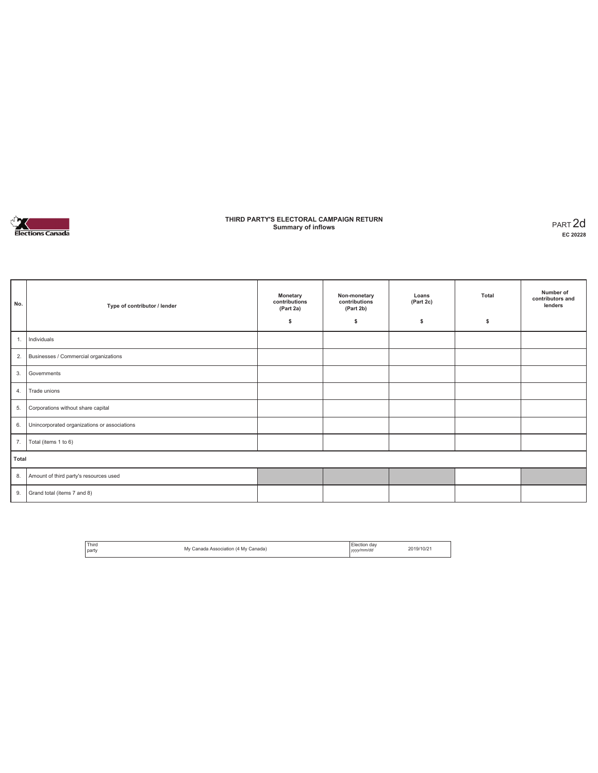

### **THIRD PARTY'S ELECTORAL CAMPAIGN RETURN Summary of inflows** PART 2d

| No.   | Type of contributor / lender                 | Monetary<br>contributions<br>(Part 2a)<br>\$ | Non-monetary<br>contributions<br>(Part 2b)<br>\$ | Loans<br>(Part 2c)<br>s | Total<br>\$ | Number of<br>contributors and<br>lenders |
|-------|----------------------------------------------|----------------------------------------------|--------------------------------------------------|-------------------------|-------------|------------------------------------------|
| 1.    | Individuals                                  |                                              |                                                  |                         |             |                                          |
| 2.    | Businesses / Commercial organizations        |                                              |                                                  |                         |             |                                          |
| 3.    | Governments                                  |                                              |                                                  |                         |             |                                          |
| 4.    | Trade unions                                 |                                              |                                                  |                         |             |                                          |
| 5.    | Corporations without share capital           |                                              |                                                  |                         |             |                                          |
| 6.    | Unincorporated organizations or associations |                                              |                                                  |                         |             |                                          |
| 7.    | Total (items 1 to 6)                         |                                              |                                                  |                         |             |                                          |
| Total |                                              |                                              |                                                  |                         |             |                                          |
| 8.    | Amount of third party's resources used       |                                              |                                                  |                         |             |                                          |
| 9.    | Grand total (items 7 and 8)                  |                                              |                                                  |                         |             |                                          |

| Third<br>٨W<br>.<br>party | Association (4 My Canada) | ı dar<br>yyyy/mm/dd | 2019/10/2 |
|---------------------------|---------------------------|---------------------|-----------|
|---------------------------|---------------------------|---------------------|-----------|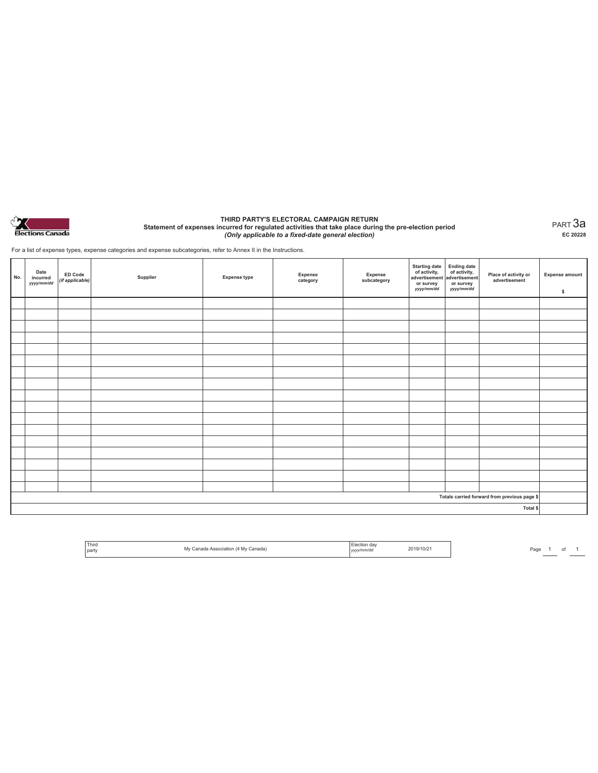

#### **THIRD PARTY'S ELECTORAL CAMPAIGN RETURN Statement of expenses incurred for regulated activities that take place during the pre-election period**  *(Only applicable to a fixed-date general election)*

PART 3a **EC 20228**

For a list of expense types, expense categories and expense subcategories, refer to Annex II in the Instructions.

| No. | Date<br>incurred<br>yyyy/mm/dd | ED Code<br>(if applicable) | Supplier | <b>Expense type</b> | Expense<br>category | Expense<br>subcategory | Starting date<br>of activity,<br>advertisement<br>advertisement<br>dvertisement<br>or survey<br>yyyy/mm/dd | or survey<br>yyyy/mm/dd | Place of activity or<br>advertisement        | <b>Expense amount</b><br>\$ |
|-----|--------------------------------|----------------------------|----------|---------------------|---------------------|------------------------|------------------------------------------------------------------------------------------------------------|-------------------------|----------------------------------------------|-----------------------------|
|     |                                |                            |          |                     |                     |                        |                                                                                                            |                         |                                              |                             |
|     |                                |                            |          |                     |                     |                        |                                                                                                            |                         |                                              |                             |
|     |                                |                            |          |                     |                     |                        |                                                                                                            |                         |                                              |                             |
|     |                                |                            |          |                     |                     |                        |                                                                                                            |                         |                                              |                             |
|     |                                |                            |          |                     |                     |                        |                                                                                                            |                         |                                              |                             |
|     |                                |                            |          |                     |                     |                        |                                                                                                            |                         |                                              |                             |
|     |                                |                            |          |                     |                     |                        |                                                                                                            |                         |                                              |                             |
|     |                                |                            |          |                     |                     |                        |                                                                                                            |                         |                                              |                             |
|     |                                |                            |          |                     |                     |                        |                                                                                                            |                         |                                              |                             |
|     |                                |                            |          |                     |                     |                        |                                                                                                            |                         |                                              |                             |
|     |                                |                            |          |                     |                     |                        |                                                                                                            |                         |                                              |                             |
|     |                                |                            |          |                     |                     |                        |                                                                                                            |                         |                                              |                             |
|     |                                |                            |          |                     |                     |                        |                                                                                                            |                         |                                              |                             |
|     |                                |                            |          |                     |                     |                        |                                                                                                            |                         |                                              |                             |
|     |                                |                            |          |                     |                     |                        |                                                                                                            |                         |                                              |                             |
|     |                                |                            |          |                     |                     |                        |                                                                                                            |                         |                                              |                             |
|     |                                |                            |          |                     |                     |                        |                                                                                                            |                         |                                              |                             |
|     |                                |                            |          |                     |                     |                        |                                                                                                            |                         | Totals carried forward from previous page \$ |                             |
|     |                                |                            |          |                     |                     |                        |                                                                                                            |                         | Total \$                                     |                             |

| ' Third<br>party | Mv<br>Canada) | dav<br>ection<br>/mm/da | 2019/10/2 |
|------------------|---------------|-------------------------|-----------|
|------------------|---------------|-------------------------|-----------|

Page  $\frac{1}{\phantom{1}}$  of  $\frac{1}{\phantom{1}}$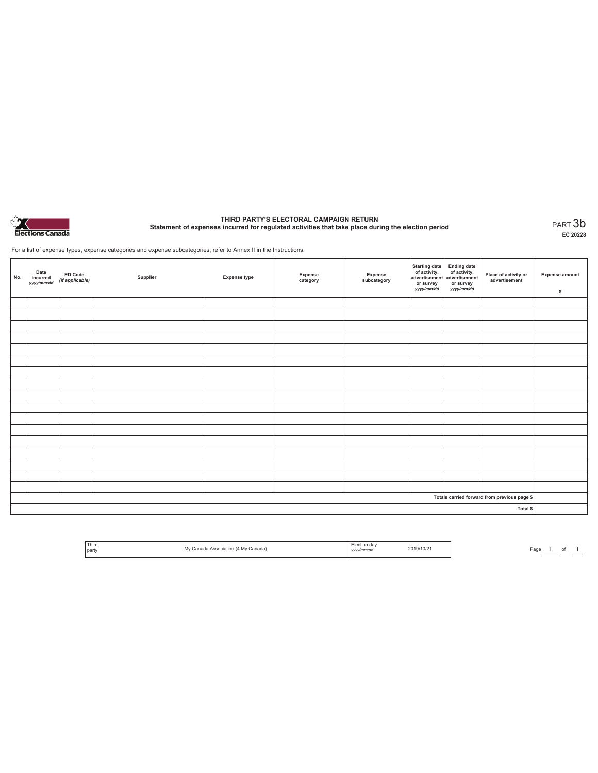

# **THIRD PARTY'S ELECTORAL CAMPAIGN RETURN Statement of expenses incurred for regulated activities that take place during the election period** PART 3b

**EC 20228**

For a list of expense types, expense categories and expense subcategories, refer to Annex II in the Instructions.

| No. | Date<br>incurred<br>yyyy/mm/dd | <b>ED Code</b><br>(if applicable) | Supplier | <b>Expense type</b> | Expense<br>category | Expense<br>subcategory | Starting date<br>of activity,<br>advertisement<br>or survey<br>yyyy/mm/dd | Ending date<br>of activity,<br>advertisement<br>or survey<br>yyyy/mm/dd | Place of activity or<br>advertisement        | <b>Expense amount</b><br>\$ |
|-----|--------------------------------|-----------------------------------|----------|---------------------|---------------------|------------------------|---------------------------------------------------------------------------|-------------------------------------------------------------------------|----------------------------------------------|-----------------------------|
|     |                                |                                   |          |                     |                     |                        |                                                                           |                                                                         |                                              |                             |
|     |                                |                                   |          |                     |                     |                        |                                                                           |                                                                         |                                              |                             |
|     |                                |                                   |          |                     |                     |                        |                                                                           |                                                                         |                                              |                             |
|     |                                |                                   |          |                     |                     |                        |                                                                           |                                                                         |                                              |                             |
|     |                                |                                   |          |                     |                     |                        |                                                                           |                                                                         |                                              |                             |
|     |                                |                                   |          |                     |                     |                        |                                                                           |                                                                         |                                              |                             |
|     |                                |                                   |          |                     |                     |                        |                                                                           |                                                                         |                                              |                             |
|     |                                |                                   |          |                     |                     |                        |                                                                           |                                                                         |                                              |                             |
|     |                                |                                   |          |                     |                     |                        |                                                                           |                                                                         |                                              |                             |
|     |                                |                                   |          |                     |                     |                        |                                                                           |                                                                         |                                              |                             |
|     |                                |                                   |          |                     |                     |                        |                                                                           |                                                                         |                                              |                             |
|     |                                |                                   |          |                     |                     |                        |                                                                           |                                                                         |                                              |                             |
|     |                                |                                   |          |                     |                     |                        |                                                                           |                                                                         |                                              |                             |
|     |                                |                                   |          |                     |                     |                        |                                                                           |                                                                         |                                              |                             |
|     |                                |                                   |          |                     |                     |                        |                                                                           |                                                                         |                                              |                             |
|     |                                |                                   |          |                     |                     |                        |                                                                           |                                                                         |                                              |                             |
|     |                                |                                   |          |                     |                     |                        |                                                                           |                                                                         |                                              |                             |
|     |                                |                                   |          |                     |                     |                        |                                                                           |                                                                         | Totals carried forward from previous page \$ |                             |
|     |                                |                                   |          |                     |                     |                        |                                                                           |                                                                         | Total \$                                     |                             |

| Third<br>l party | `anada`<br><b>IV</b><br>. | dav<br>v/mm/do<br>,,,, | $2019/10/z$ .<br>-- . - - . - |
|------------------|---------------------------|------------------------|-------------------------------|
|------------------|---------------------------|------------------------|-------------------------------|

Page <sup>1</sup> of <sup>1</sup> Third